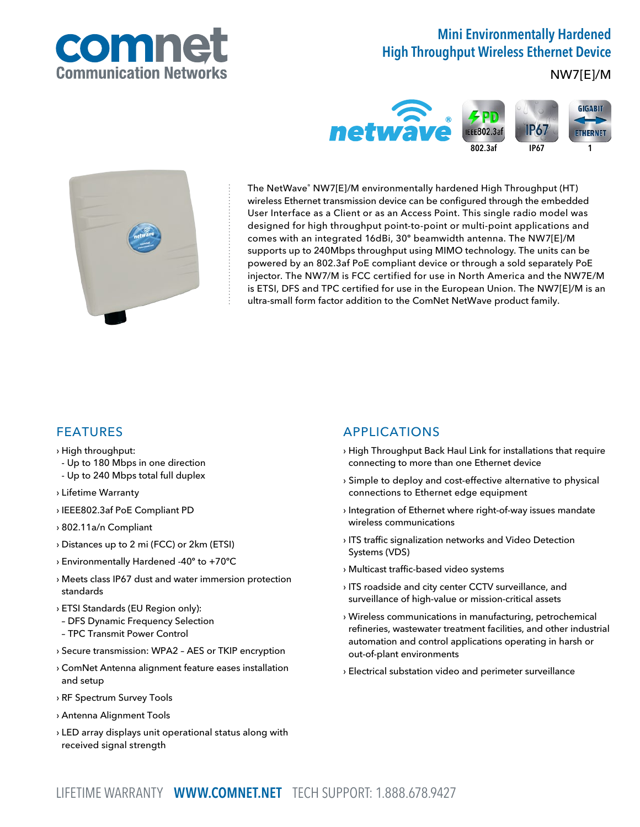

# Mini Environmentally Hardened High Throughput Wireless Ethernet Device

### NW7[E]/M





The NetWave® NW7[E]/M environmentally hardened High Throughput (HT) wireless Ethernet transmission device can be configured through the embedded User Interface as a Client or as an Access Point. This single radio model was designed for high throughput point-to-point or multi-point applications and comes with an integrated 16dBi, 30º beamwidth antenna. The NW7[E]/M supports up to 240Mbps throughput using MIMO technology. The units can be powered by an 802.3af PoE compliant device or through a sold separately PoE injector. The NW7/M is FCC certified for use in North America and the NW7E/M is ETSI, DFS and TPC certified for use in the European Union. The NW7[E]/M is an ultra-small form factor addition to the ComNet NetWave product family.

### FEATURES

- › High throughput:
- Up to 180 Mbps in one direction
- Up to 240 Mbps total full duplex
- › Lifetime Warranty
- › IEEE802.3af PoE Compliant PD
- › 802.11a/n Compliant
- › Distances up to 2 mi (FCC) or 2km (ETSI)
- › Environmentally Hardened -40º to +70ºC
- › Meets class IP67 dust and water immersion protection standards
- › ETSI Standards (EU Region only):
- DFS Dynamic Frequency Selection
- TPC Transmit Power Control
- › Secure transmission: WPA2 AES or TKIP encryption
- › ComNet Antenna alignment feature eases installation and setup
- › RF Spectrum Survey Tools
- › Antenna Alignment Tools
- › LED array displays unit operational status along with received signal strength

### APPLICATIONS

- › High Throughput Back Haul Link for installations that require connecting to more than one Ethernet device
- › Simple to deploy and cost-effective alternative to physical connections to Ethernet edge equipment
- › Integration of Ethernet where right-of-way issues mandate wireless communications
- › ITS traffic signalization networks and Video Detection Systems (VDS)
- › Multicast traffic-based video systems
- › ITS roadside and city center CCTV surveillance, and surveillance of high-value or mission-critical assets
- › Wireless communications in manufacturing, petrochemical refineries, wastewater treatment facilities, and other industrial automation and control applications operating in harsh or out-of-plant environments
- › Electrical substation video and perimeter surveillance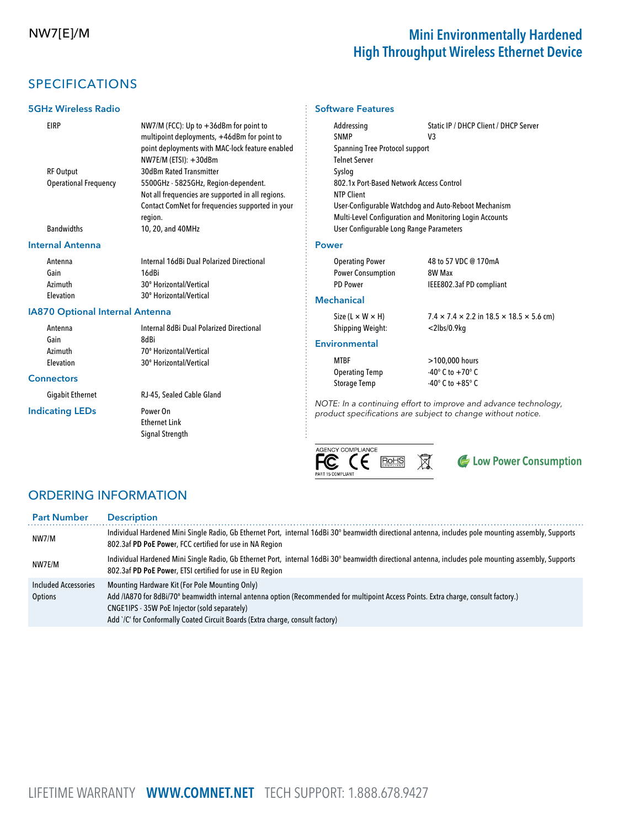## NW7[E]/M Mini Environmentally Hardened High Throughput Wireless Ethernet Device

## SPECIFICATIONS

#### 5GHz Wireless Radio

# Software Features

EIRP NW7/M (FCC): Up to +36dBm for point to multipoint deployments, +46dBm for point to point deployments with MAC-lock feature enabled NW7E/M (ETSI): +30dBm RF Output 30dBm Rated Transmitter Operational Frequency 5500GHz - 5825GHz, Region-dependent. Not all frequencies are supported in all regions. Contact ComNet for frequencies supported in your region. Bandwidths 10, 20, and 40MHz

#### Internal Antenna

| Antenna          | Internal 16dBi Dual Polarized Directional | <b>Operating Power</b>   | 48 t |
|------------------|-------------------------------------------|--------------------------|------|
| Gain             | 16dBi                                     | <b>Power Consumption</b> | 8W   |
| Azimuth          | 30° Horizontal/Vertical                   | <b>PD Power</b>          | ieee |
| <b>Elevation</b> | 30° Horizontal/Vertical                   | <b>Mochanical</b>        |      |

#### IA870 Optional Internal Antenna

| Antenna                 | Internal 8dBi Dual Polarized Directional |
|-------------------------|------------------------------------------|
| Gain                    | 8dBi                                     |
| Azimuth                 | 70° Horizontal/Vertical                  |
| Elevation               | 30° Horizontal/Vertical                  |
| <b>Connectors</b>       |                                          |
| <b>Gigabit Ethernet</b> | RJ-45, Sealed Cable Gland                |
| <b>Indicating LEDs</b>  | Power On                                 |
|                         | <b>Ethernet Link</b>                     |
|                         | Signal Strength                          |
|                         |                                          |
|                         |                                          |

#### Addressing Static IP / DHCP Client / DHCP Server SNMP V3 Spanning Tree Protocol support Telnet Server Syslog 802.1x Port-Based Network Access Control NTP Client User-Configurable Watchdog and Auto-Reboot Mechanism Multi-Level Configuration and Monitoring Login Accounts User Configurable Long Range Parameters

#### Power

| <b>Operating Power</b>   | 48 to 57 VDC @ 170mA     |
|--------------------------|--------------------------|
| <b>Power Consumption</b> | 8W Max                   |
| <b>PD Power</b>          | IEEE802.3af PD compliant |

#### **Mechanical**

Shipping Weight: <2lbs/0.9kg

Size (L  $\times$  W  $\times$  H) 7.4  $\times$  7.4  $\times$  2.2 in 18.5  $\times$  18.5  $\times$  5.6 cm)

#### **Environmental**

MTBF >100,000 hours Operating Temp  $-40^\circ$  C to  $+70^\circ$  C Storage Temp -40° C to +85° C

NOTE: In a continuing effort to improve and advance technology, product specifications are subject to change without notice.



C Low Power Consumption

### ORDERING INFORMATION

| <b>Part Number</b>                     | <b>Description</b>                                                                                                                                                                                                                                                                                                        |
|----------------------------------------|---------------------------------------------------------------------------------------------------------------------------------------------------------------------------------------------------------------------------------------------------------------------------------------------------------------------------|
| NW7/M                                  | Individual Hardened Mini Single Radio, Gb Ethernet Port, internal 16dBi 30° beamwidth directional antenna, includes pole mounting assembly, Supports<br>802.3af PD PoE Power, FCC certified for use in NA Region                                                                                                          |
| NW7E/M                                 | Individual Hardened Mini Single Radio, Gb Ethernet Port, internal 16dBi 30° beamwidth directional antenna, includes pole mounting assembly, Supports<br>802.3af PD PoE Power, ETSI certified for use in EU Region                                                                                                         |
| <b>Included Accessories</b><br>Options | Mounting Hardware Kit (For Pole Mounting Only)<br>Add /IA870 for 8dBi/70° beamwidth internal antenna option (Recommended for multipoint Access Points. Extra charge, consult factory.)<br>CNGE1IPS - 35W PoE Injector (sold separately)<br>Add `/C' for Conformally Coated Circuit Boards (Extra charge, consult factory) |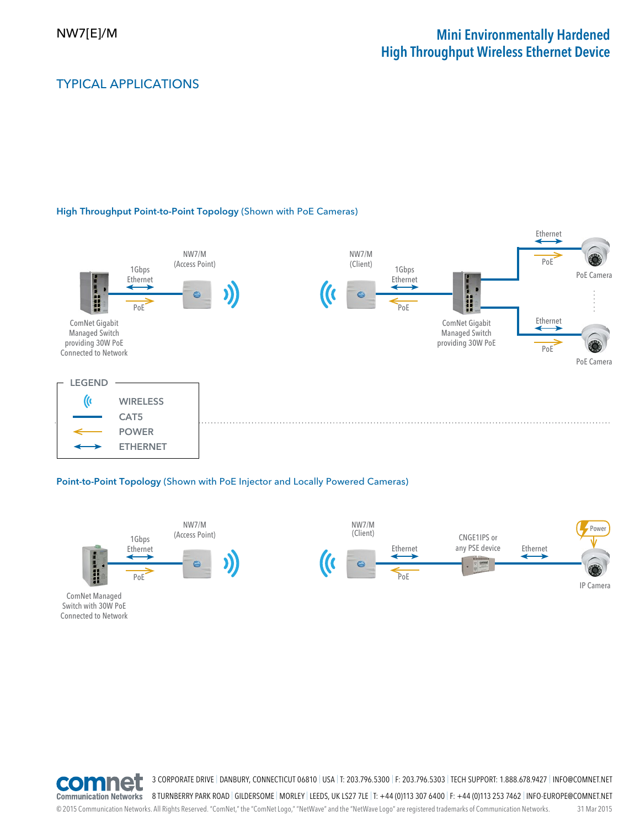## NW7[E]/M Mini Environmentally Hardened High Throughput Wireless Ethernet Device

### TYPICAL APPLICATIONS

#### High Throughput Point-to-Point Topology (Shown with PoE Cameras)



#### Point-to-Point Topology (Shown with PoE Injector and Locally Powered Cameras)



ComNet Managed Switch with 30W PoE Connected to Network





3 CORPORATE DRIVE | DANBURY, CONNECTICUT 06810 | USA | T: 203.796.5300 | F: 203.796.5303 | TECH SUPPORT: 1.888.678.9427 | INFO@COMNET.NET

8 TURNBERRY PARK ROAD | GILDERSOME | MORLEY | LEEDS, UK LS27 7LE | T: +44 (0)113 307 6400 | F: +44 (0)113 253 7462 | INFO-EUROPE@COMNET.NET

© 2015 Communication Networks. All Rights Reserved. "ComNet," the "ComNet Logo," "NetWave" and the "NetWave Logo" are registered trademarks of Communication Networks. 31 Mar 2015